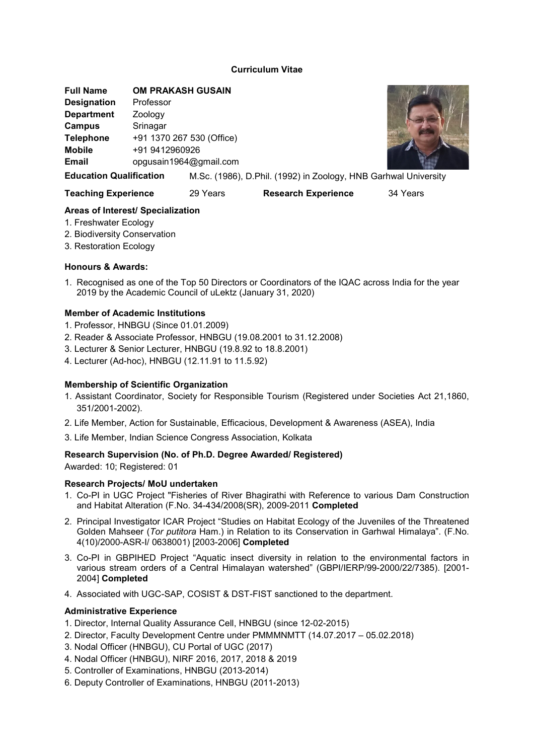# Curriculum Vitae

Full Name OM PRAKASH GUSAIN Designation Professor Department **Zoology** Campus Srinagar Telephone +91 1370 267 530 (Office) Mobile +91 9412960926 Email opgusain1964@gmail.com



Education Qualification M.Sc. (1986), D.Phil. (1992) in Zoology, HNB Garhwal University

Teaching Experience 29 Years Research Experience 34 Years

# Areas of Interest/ Specialization

- 1. Freshwater Ecology
- 2. Biodiversity Conservation
- 3. Restoration Ecology

# Honours & Awards:

1. Recognised as one of the Top 50 Directors or Coordinators of the IQAC across India for the year 2019 by the Academic Council of uLektz (January 31, 2020)

# Member of Academic Institutions

- 1. Professor, HNBGU (Since 01.01.2009)
- 2. Reader & Associate Professor, HNBGU (19.08.2001 to 31.12.2008)
- 3. Lecturer & Senior Lecturer, HNBGU (19.8.92 to 18.8.2001)
- 4. Lecturer (Ad-hoc), HNBGU (12.11.91 to 11.5.92)

# Membership of Scientific Organization

- 1. Assistant Coordinator, Society for Responsible Tourism (Registered under Societies Act 21,1860, 351/2001-2002).
- 2. Life Member, Action for Sustainable, Efficacious, Development & Awareness (ASEA), India
- 3. Life Member, Indian Science Congress Association, Kolkata

# Research Supervision (No. of Ph.D. Degree Awarded/ Registered)

Awarded: 10; Registered: 01

# Research Projects/ MoU undertaken

- 1. Co-PI in UGC Project "Fisheries of River Bhagirathi with Reference to various Dam Construction and Habitat Alteration (F.No. 34-434/2008(SR), 2009-2011 Completed
- 2. Principal Investigator ICAR Project "Studies on Habitat Ecology of the Juveniles of the Threatened Golden Mahseer (Tor putitora Ham.) in Relation to its Conservation in Garhwal Himalaya". (F.No. 4(10)/2000-ASR-I/ 0638001) [2003-2006] Completed
- 3. Co-PI in GBPIHED Project "Aquatic insect diversity in relation to the environmental factors in various stream orders of a Central Himalayan watershed" (GBPI/IERP/99-2000/22/7385). [2001- 2004] Completed
- 4. Associated with UGC-SAP, COSIST & DST-FIST sanctioned to the department.

# Administrative Experience

- 1. Director, Internal Quality Assurance Cell, HNBGU (since 12-02-2015)
- 2. Director, Faculty Development Centre under PMMMNMTT (14.07.2017 05.02.2018)
- 3. Nodal Officer (HNBGU), CU Portal of UGC (2017)
- 4. Nodal Officer (HNBGU), NIRF 2016, 2017, 2018 & 2019
- 5. Controller of Examinations, HNBGU (2013-2014)
- 6. Deputy Controller of Examinations, HNBGU (2011-2013)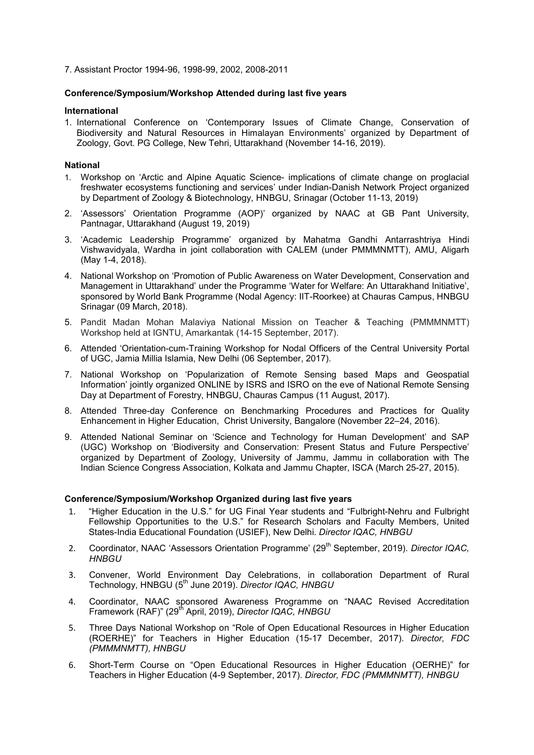7. Assistant Proctor 1994-96, 1998-99, 2002, 2008-2011

### Conference/Symposium/Workshop Attended during last five years

#### International

1. International Conference on 'Contemporary Issues of Climate Change, Conservation of Biodiversity and Natural Resources in Himalayan Environments' organized by Department of Zoology, Govt. PG College, New Tehri, Uttarakhand (November 14-16, 2019).

### National

- 1. Workshop on 'Arctic and Alpine Aquatic Science- implications of climate change on proglacial freshwater ecosystems functioning and services' under Indian-Danish Network Project organized by Department of Zoology & Biotechnology, HNBGU, Srinagar (October 11-13, 2019)
- 2. 'Assessors' Orientation Programme (AOP)' organized by NAAC at GB Pant University, Pantnagar, Uttarakhand (August 19, 2019)
- 3. 'Academic Leadership Programme' organized by Mahatma Gandhi Antarrashtriya Hindi Vishwavidyala, Wardha in joint collaboration with CALEM (under PMMMNMTT), AMU, Aligarh (May 1-4, 2018).
- 4. National Workshop on 'Promotion of Public Awareness on Water Development, Conservation and Management in Uttarakhand' under the Programme 'Water for Welfare: An Uttarakhand Initiative', sponsored by World Bank Programme (Nodal Agency: IIT-Roorkee) at Chauras Campus, HNBGU Srinagar (09 March, 2018).
- 5. Pandit Madan Mohan Malaviya National Mission on Teacher & Teaching (PMMMNMTT) Workshop held at IGNTU, Amarkantak (14-15 September, 2017).
- 6. Attended 'Orientation-cum-Training Workshop for Nodal Officers of the Central University Portal of UGC, Jamia Millia Islamia, New Delhi (06 September, 2017).
- 7. National Workshop on 'Popularization of Remote Sensing based Maps and Geospatial Information' jointly organized ONLINE by ISRS and ISRO on the eve of National Remote Sensing Day at Department of Forestry, HNBGU, Chauras Campus (11 August, 2017).
- 8. Attended Three-day Conference on Benchmarking Procedures and Practices for Quality Enhancement in Higher Education, Christ University, Bangalore (November 22–24, 2016).
- 9. Attended National Seminar on 'Science and Technology for Human Development' and SAP (UGC) Workshop on 'Biodiversity and Conservation: Present Status and Future Perspective' organized by Department of Zoology, University of Jammu, Jammu in collaboration with The Indian Science Congress Association, Kolkata and Jammu Chapter, ISCA (March 25-27, 2015).

#### Conference/Symposium/Workshop Organized during last five years

- 1. "Higher Education in the U.S." for UG Final Year students and "Fulbright-Nehru and Fulbright Fellowship Opportunities to the U.S." for Research Scholars and Faculty Members, United States-India Educational Foundation (USIEF), New Delhi. Director IQAC, HNBGU
- 2. Coordinator, NAAC 'Assessors Orientation Programme' (29<sup>th</sup> September, 2019). Director IQAC, **HNBGU**
- 3. Convener, World Environment Day Celebrations, in collaboration Department of Rural Technology, HNBGU (5<sup>th</sup> June 2019). Director IQAC, HNBGU
- 4. Coordinator, NAAC sponsored Awareness Programme on "NAAC Revised Accreditation Framework (RAF)" (29<sup>th</sup> April, 2019), Director IQAC, HNBGU
- 5. Three Days National Workshop on "Role of Open Educational Resources in Higher Education (ROERHE)" for Teachers in Higher Education (15-17 December, 2017). Director, FDC (PMMMNMTT), HNBGU
- 6. Short-Term Course on "Open Educational Resources in Higher Education (OERHE)" for Teachers in Higher Education (4-9 September, 2017). Director, FDC (PMMMNMTT), HNBGU